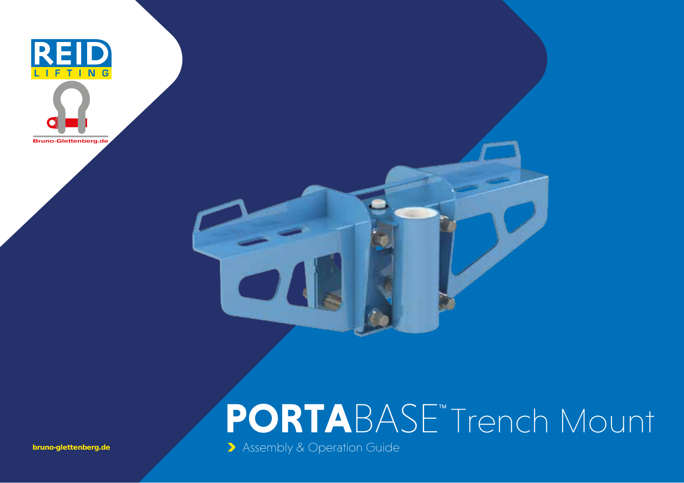

## **PORTA**BASE Trench Mount

> Assembly & Operation Guide

bruno-glettenberg.de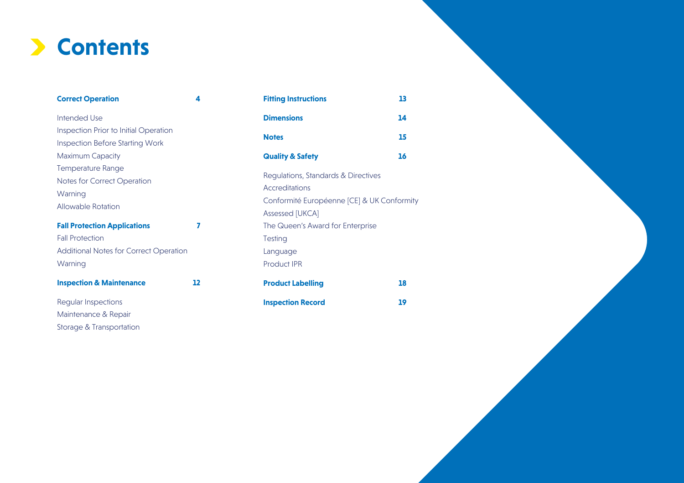### **Contents**

| <b>Correct Operation</b>                                                                                                                                                                                     | 4  | <b>Fitting Instructions</b>                                                                                                                                                                          | 13 |  |
|--------------------------------------------------------------------------------------------------------------------------------------------------------------------------------------------------------------|----|------------------------------------------------------------------------------------------------------------------------------------------------------------------------------------------------------|----|--|
| Intended Use                                                                                                                                                                                                 |    | <b>Dimensions</b>                                                                                                                                                                                    | 14 |  |
| Inspection Prior to Initial Operation                                                                                                                                                                        |    |                                                                                                                                                                                                      |    |  |
| <b>Inspection Before Starting Work</b>                                                                                                                                                                       |    | <b>Notes</b>                                                                                                                                                                                         | 15 |  |
| Maximum Capacity                                                                                                                                                                                             |    | <b>Quality &amp; Safety</b>                                                                                                                                                                          | 16 |  |
| Temperature Range<br>Notes for Correct Operation<br>Warning<br>Allowable Rotation<br><b>Fall Protection Applications</b><br>7<br><b>Fall Protection</b><br>Additional Notes for Correct Operation<br>Warning |    | Regulations, Standards & Directives<br>Accreditations<br>Conformité Européenne [CE] & UK Conform<br>Assessed [UKCA]<br>The Queen's Award for Enterprise<br><b>Testing</b><br>Language<br>Product IPR |    |  |
| <b>Inspection &amp; Maintenance</b>                                                                                                                                                                          | 12 | <b>Product Labelling</b>                                                                                                                                                                             | 18 |  |
| Regular Inspections                                                                                                                                                                                          |    | <b>Inspection Record</b>                                                                                                                                                                             | 19 |  |
| Maintenance & Repair                                                                                                                                                                                         |    |                                                                                                                                                                                                      |    |  |

Storage & Transportation

| <b>Fitting Instructions</b>                                                                       | 13 |
|---------------------------------------------------------------------------------------------------|----|
| <b>Dimensions</b>                                                                                 | 14 |
| <b>Notes</b>                                                                                      | 15 |
| <b>Quality &amp; Safety</b>                                                                       | 16 |
| Regulations, Standards & Directives<br><b>Accreditations</b>                                      |    |
| Conformité Européenne [CE] & UK Conformity<br>Assessed [UKCA]<br>The Queen's Award for Enterprise |    |
| Testing<br>Language<br><b>Product IPR</b>                                                         |    |
| <b>Product Labelling</b>                                                                          | 18 |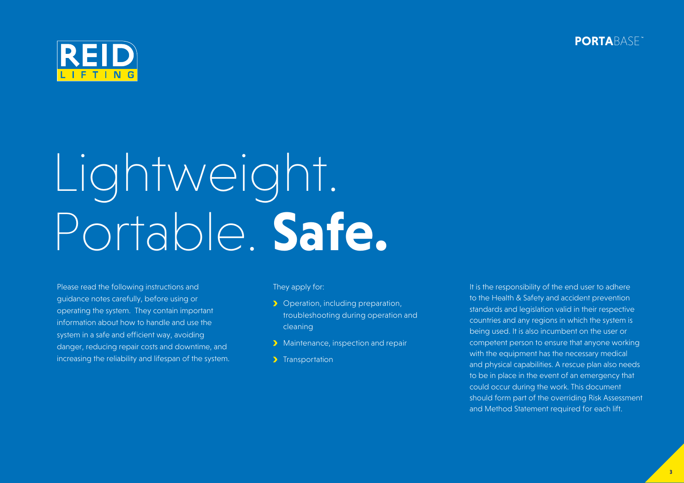**PORTA**BASE



# Lightweight. Portable. **Safe.**

Please read the following instructions and guidance notes carefully, before using or operating the system. They contain important information about how to handle and use the system in a safe and efficient way, avoiding danger, reducing repair costs and downtime, and increasing the reliability and lifespan of the system. They apply for:

- **D** Operation, including preparation, troubleshooting during operation and cleaning
- **Maintenance, inspection and repair**
- > Transportation

It is the responsibility of the end user to adhere to the Health & Safety and accident prevention standards and legislation valid in their respective countries and any regions in which the system is being used. It is also incumbent on the user or competent person to ensure that anyone working with the equipment has the necessary medical and physical capabilities. A rescue plan also needs to be in place in the event of an emergency that could occur during the work. This document should form part of the overriding Risk Assessment and Method Statement required for each lift.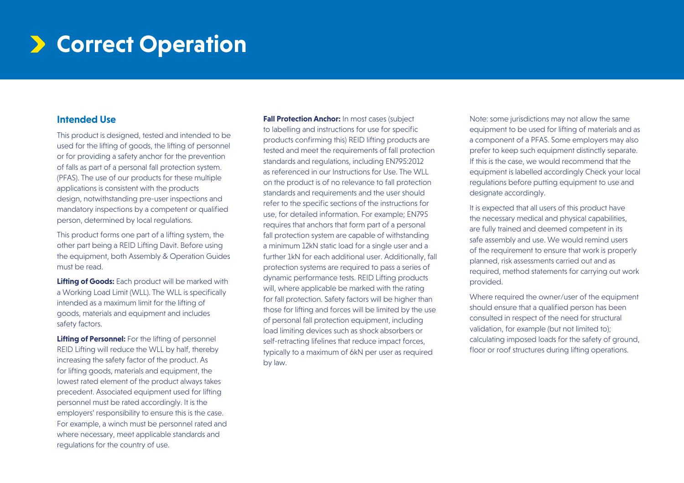### $\triangleright$  **Correct Operation**

#### **Intended Use**

This product is designed, tested and intended to be used for the lifting of goods, the lifting of personnel or for providing a safety anchor for the prevention of falls as part of a personal fall protection system. (PFAS). The use of our products for these multiple applications is consistent with the products design, notwithstanding pre-user inspections and mandatory inspections by a competent or qualified person, determined by local regulations.

This product forms one part of a lifting system, the other part being a REID Lifting Davit. Before using the equipment, both Assembly & Operation Guides must be read.

**Lifting of Goods:** Each product will be marked with a Working Load Limit (WLL). The WLL is specifically intended as a maximum limit for the lifting of goods, materials and equipment and includes safety factors.

**Lifting of Personnel:** For the lifting of personnel REID Lifting will reduce the WLL by half, thereby increasing the safety factor of the product. As for lifting goods, materials and equipment, the lowest rated element of the product always takes precedent. Associated equipment used for lifting personnel must be rated accordingly. It is the employers' responsibility to ensure this is the case. For example, a winch must be personnel rated and where necessary, meet applicable standards and regulations for the country of use.

**Fall Protection Anchor:** In most cases (subject) to labelling and instructions for use for specific products confirming this) REID lifting products are tested and meet the requirements of fall protection standards and regulations, including EN795:2012 as referenced in our Instructions for Use. The WLL on the product is of no relevance to fall protection standards and requirements and the user should refer to the specific sections of the instructions for use, for detailed information. For example; EN795 requires that anchors that form part of a personal fall protection system are capable of withstanding a minimum 12kN static load for a single user and a further 1kN for each additional user. Additionally, fall protection systems are required to pass a series of dynamic performance tests. REID Lifting products will, where applicable be marked with the rating for fall protection. Safety factors will be higher than those for lifting and forces will be limited by the use of personal fall protection equipment, including load limiting devices such as shock absorbers or self-retracting lifelines that reduce impact forces, typically to a maximum of 6kN per user as required by law.

Note: some jurisdictions may not allow the same equipment to be used for lifting of materials and as a component of a PFAS. Some employers may also prefer to keep such equipment distinctly separate. If this is the case, we would recommend that the equipment is labelled accordingly Check your local regulations before putting equipment to use and designate accordingly.

It is expected that all users of this product have the necessary medical and physical capabilities, are fully trained and deemed competent in its safe assembly and use. We would remind users of the requirement to ensure that work is properly planned, risk assessments carried out and as required, method statements for carrying out work provided.

Where required the owner/user of the equipment should ensure that a qualified person has been consulted in respect of the need for structural validation, for example (but not limited to); calculating imposed loads for the safety of ground, floor or roof structures during lifting operations.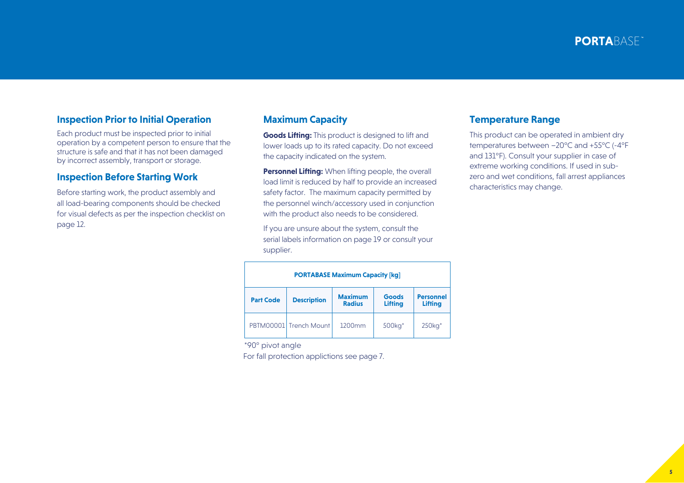### **Inspection Prior to Initial Operation**

Each product must be inspected prior to initial operation by a competent person to ensure that the structure is safe and that it has not been damaged by incorrect assembly, transport or storage.

### **Inspection Before Starting Work**

Before starting work, the product assembly and all load-bearing components should be checked for visual defects as per the inspection checklist on page 12.

### **Maximum Capacity**

**Goods Lifting:** This product is designed to lift and lower loads up to its rated capacity. Do not exceed the capacity indicated on the system.

**Personnel Lifting:** When lifting people, the overall load limit is reduced by half to provide an increased safety factor. The maximum capacity permitted by the personnel winch/accessory used in conjunction with the product also needs to be considered.

If you are unsure about the system, consult the serial labels information on page 19 or consult your supplier.

#### **PORTABASE Maximum Capacity [kg] Part Code Description Maximum Radius Goods Lifting Personnel Lifting**  PBTM00001 Trench Mount 1200mm 500kg\* 250kg\*

\*90° pivot angle

For fall protection applictions see page 7.

#### **Temperature Range**

This product can be operated in ambient dry temperatures between –20°C and +55°C (-4°F and 131°F). Consult your supplier in case of extreme working conditions. If used in subzero and wet conditions, fall arrest appliances characteristics may change.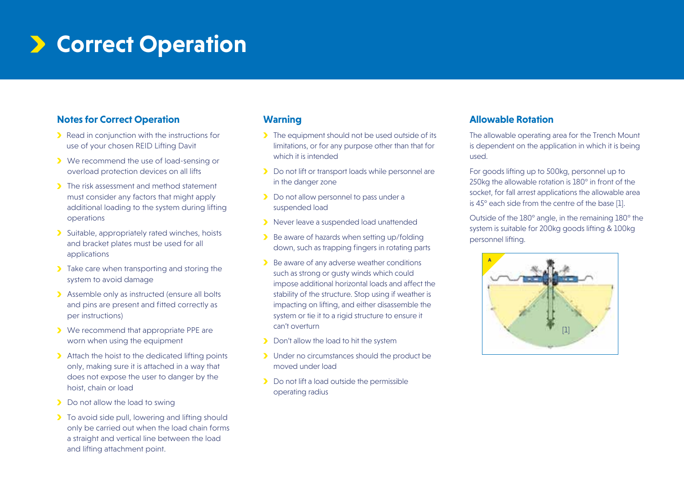### $\triangleright$  **Correct Operation**

### **Notes for Correct Operation**

- **•** Read in conjunction with the instructions for use of your chosen REID Lifting Davit
- We recommend the use of load-sensing or overload protection devices on all lifts
- **The risk assessment and method statement** must consider any factors that might apply additional loading to the system during lifting operations
- Suitable, appropriately rated winches, hoists and bracket plates must be used for all applications
- $\blacktriangleright$  Take care when transporting and storing the system to avoid damage
- Assemble only as instructed (ensure all bolts and pins are present and fitted correctly as per instructions)
- We recommend that appropriate PPE are worn when using the equipment
- Attach the hoist to the dedicated lifting points only, making sure it is attached in a way that does not expose the user to danger by the hoist, chain or load
- **Do not allow the load to swing**
- **To avoid side pull, lowering and lifting should** only be carried out when the load chain forms a straight and vertical line between the load and lifting attachment point.

### **Warning**

- The equipment should not be used outside of its limitations, or for any purpose other than that for which it is intended
- **Do not lift or transport loads while personnel are** in the danger zone
- Do not allow personnel to pass under a suspended load
- Never leave a suspended load unattended
- Be aware of hazards when setting up/folding down, such as trapping fingers in rotating parts
- $\blacktriangleright$  Be aware of any adverse weather conditions such as strong or gusty winds which could impose additional horizontal loads and affect the stability of the structure. Stop using if weather is impacting on lifting, and either disassemble the system or tie it to a rigid structure to ensure it can't overturn
- Don't allow the load to hit the system
- > Under no circumstances should the product be moved under load
- Do not lift a load outside the permissible operating radius

### **Allowable Rotation**

The allowable operating area for the Trench Mount is dependent on the application in which it is being used.

For goods lifting up to 500kg, personnel up to 250kg the allowable rotation is 180° in front of the socket, for fall arrest applications the allowable area is 45° each side from the centre of the base [1].

Outside of the 180° angle, in the remaining 180° the system is suitable for 200kg goods lifting & 100kg personnel lifting.

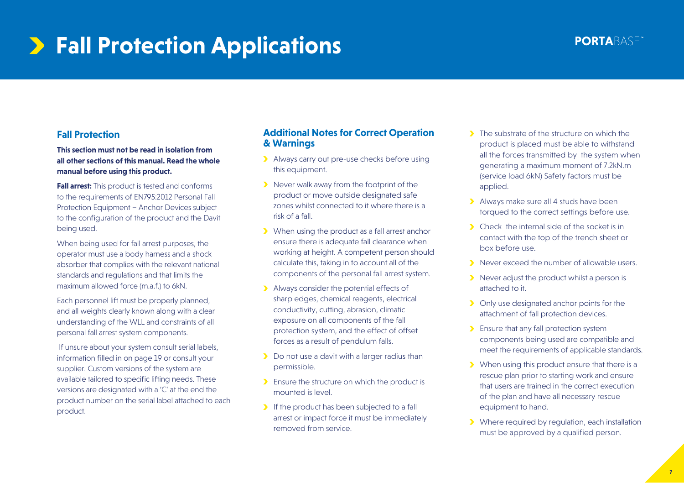### **Fall Protection Applications**

### **Fall Protection**

**This section must not be read in isolation from all other sections of this manual. Read the whole manual before using this product.**

**Fall arrest:** This product is tested and conforms to the requirements of EN795:2012 Personal Fall Protection Equipment – Anchor Devices subject to the configuration of the product and the Davit being used.

When being used for fall arrest purposes, the operator must use a body harness and a shock absorber that complies with the relevant national standards and regulations and that limits the maximum allowed force (m.a.f.) to 6kN.

Each personnel lift must be properly planned, and all weights clearly known along with a clear understanding of the WLL and constraints of all personal fall arrest system components.

 If unsure about your system consult serial labels, information filled in on page 19 or consult your supplier. Custom versions of the system are available tailored to specific lifting needs. These versions are designated with a 'C' at the end the product number on the serial label attached to each product.

#### **Additional Notes for Correct Operation & Warnings**

- > Always carry out pre-use checks before using this equipment.
- Never walk away from the footprint of the product or move outside designated safe zones whilst connected to it where there is a risk of a fall.
- When using the product as a fall arrest anchor ensure there is adequate fall clearance when working at height. A competent person should calculate this, taking in to account all of the components of the personal fall arrest system.
- Always consider the potential effects of sharp edges, chemical reagents, electrical conductivity, cutting, abrasion, climatic exposure on all components of the fall protection system, and the effect of offset forces as a result of pendulum falls.
- Do not use a davit with a larger radius than permissible.
- **Ensure the structure on which the product is** mounted is level.
- If the product has been subjected to a fall arrest or impact force it must be immediately removed from service.
- **The substrate of the structure on which the** product is placed must be able to withstand all the forces transmitted by the system when generating a maximum moment of 7.2kN.m (service load 6kN) Safety factors must be applied.
- > Always make sure all 4 studs have been torqued to the correct settings before use.
- **Check** the internal side of the socket is in contact with the top of the trench sheet or box before use.
- Never exceed the number of allowable users.
- Never adjust the product whilst a person is attached to it.
- **D** Only use designated anchor points for the attachment of fall protection devices.
- **Ensure that any fall protection system** components being used are compatible and meet the requirements of applicable standards.
- **>** When using this product ensure that there is a rescue plan prior to starting work and ensure that users are trained in the correct execution of the plan and have all necessary rescue equipment to hand.
- Where required by requiation, each installation must be approved by a qualified person.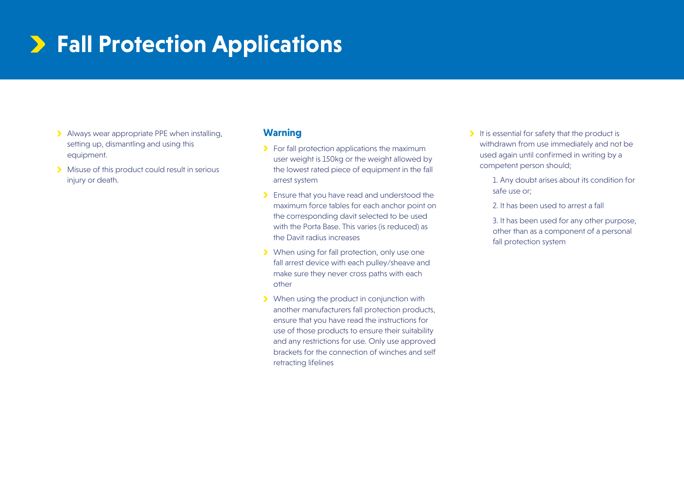### **Fall Protection Applications**

- Always wear appropriate PPE when installing, setting up, dismantling and using this equipment.
- Misuse of this product could result in serious injury or death.

### **Warning**

- For fall protection applications the maximum user weight is 150kg or the weight allowed by the lowest rated piece of equipment in the fall arrest system
- Ensure that you have read and understood the maximum force tables for each anchor point on the corresponding davit selected to be used with the Porta Base. This varies (is reduced) as the Davit radius increases
- When using for fall protection, only use one fall arrest device with each pulley/sheave and make sure they never cross paths with each other
- When using the product in conjunction with another manufacturers fall protection products, ensure that you have read the instructions for use of those products to ensure their suitability and any restrictions for use. Only use approved brackets for the connection of winches and self retracting lifelines
- $\blacktriangleright$  It is essential for safety that the product is withdrawn from use immediately and not be used again until confirmed in writing by a competent person should;
	- 1. Any doubt arises about its condition for safe use or;
	- 2. It has been used to arrest a fall

 3. It has been used for any other purpose, other than as a component of a personal fall protection system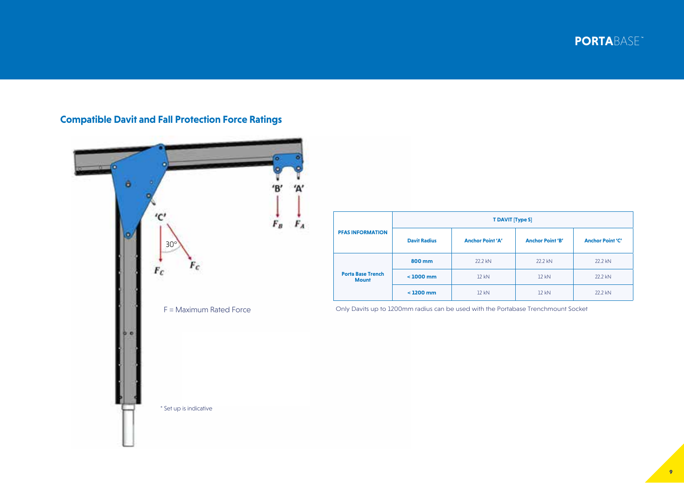**PORTA**BASE



### **Compatible Davit and Fall Protection Force Ratings**

| <b>PFAS INFORMATION</b>                  | <b>T DAVIT [Type S]</b> |                         |                         |                         |
|------------------------------------------|-------------------------|-------------------------|-------------------------|-------------------------|
|                                          | <b>Davit Radius</b>     | <b>Anchor Point 'A'</b> | <b>Anchor Point 'B'</b> | <b>Anchor Point 'C'</b> |
| <b>Porta Base Trench</b><br><b>Mount</b> | 800 mm                  | 22.2 kN                 | 22.2 kN                 | 22.2 kN                 |
|                                          | $< 1000$ mm             | 12 kN                   | 12 kN                   | 22.2 kN                 |
|                                          | $<$ 1200 mm             | 12 kN                   | 12 kN                   | 22.2 kN                 |

Only Davits up to 1200mm radius can be used with the Portabase Trenchmount Socket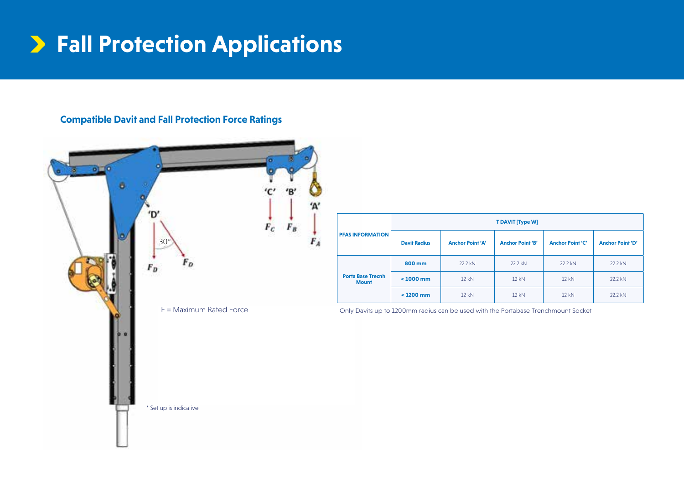### **Fall Protection Applications**

### **Compatible Davit and Fall Protection Force Ratings**



| <b>PFAS INFORMATION</b>                  | <b>T DAVIT [Type W]</b> |                         |                         |                         |                         |
|------------------------------------------|-------------------------|-------------------------|-------------------------|-------------------------|-------------------------|
|                                          | <b>Davit Radius</b>     | <b>Anchor Point 'A'</b> | <b>Anchor Point 'B'</b> | <b>Anchor Point 'C'</b> | <b>Anchor Point 'D'</b> |
| <b>Porta Base Trecnh</b><br><b>Mount</b> | 800 mm                  | 22.2 kN                 | 22.2 kN                 | 22.2 kN                 | 22.2 kN                 |
|                                          | $< 1000$ mm             | 12 kN                   | 12 kN                   | 12 kN                   | 22.2 kN                 |
|                                          | $< 1200$ mm             | 12 kN                   | 12 kN                   | 12 kN                   | 22.2 kN                 |

Only Davits up to 1200mm radius can be used with the Portabase Trenchmount Socket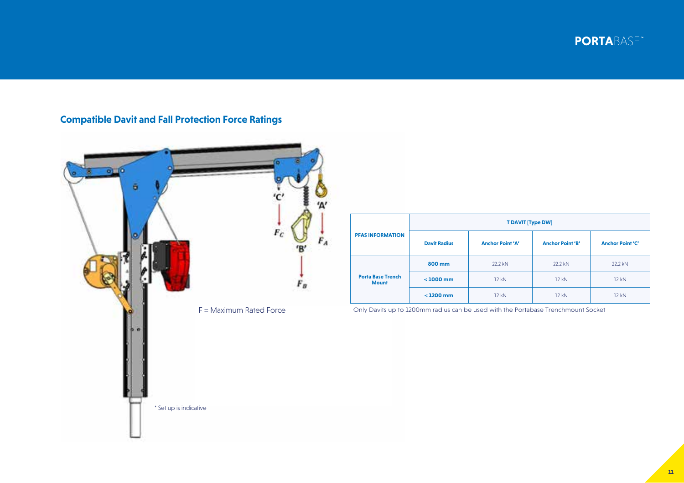**PORTA**BASE



### **Compatible Davit and Fall Protection Force Ratings**

| <b>PFAS INFORMATION</b>                  | <b>T DAVIT [Type DW]</b> |                         |                         |                         |  |
|------------------------------------------|--------------------------|-------------------------|-------------------------|-------------------------|--|
|                                          | <b>Davit Radius</b>      | <b>Anchor Point 'A'</b> | <b>Anchor Point 'B'</b> | <b>Anchor Point 'C'</b> |  |
| <b>Porta Base Trench</b><br><b>Mount</b> | 800 mm                   | 22.2 kN                 | 22.2 kN                 | 22.2 kN                 |  |
|                                          | $< 1000$ mm              | 12 kN                   | 12 kN                   | 12 kN                   |  |
|                                          | $<$ 1200 mm              | 12 kN                   | 12 kN                   | 12 kN                   |  |

Only Davits up to 1200mm radius can be used with the Portabase Trenchmount Socket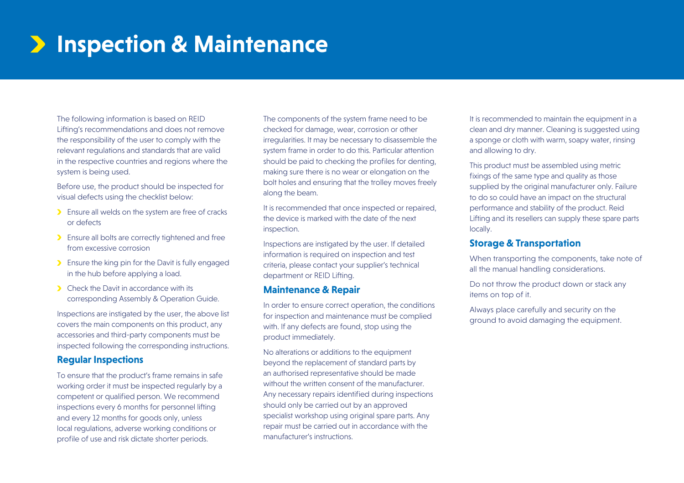## **Inspection & Maintenance**

The following information is based on REID Lifting's recommendations and does not remove the responsibility of the user to comply with the relevant regulations and standards that are valid in the respective countries and regions where the system is being used.

Before use, the product should be inspected for visual defects using the checklist below:

- **Ensure all welds on the system are free of cracks** or defects
- **Ensure all bolts are correctly tightened and free** from excessive corrosion
- **Ensure the king pin for the Davit is fully engaged** in the hub before applying a load.
- **Check the Davit in accordance with its** corresponding Assembly & Operation Guide.

Inspections are instigated by the user, the above list covers the main components on this product, any accessories and third-party components must be inspected following the corresponding instructions.

#### **Regular Inspections**

To ensure that the product's frame remains in safe working order it must be inspected regularly by a competent or qualified person. We recommend inspections every 6 months for personnel lifting and every 12 months for goods only, unless local regulations, adverse working conditions or profile of use and risk dictate shorter periods.

The components of the system frame need to be checked for damage, wear, corrosion or other irregularities. It may be necessary to disassemble the system frame in order to do this. Particular attention should be paid to checking the profiles for denting, making sure there is no wear or elongation on the bolt holes and ensuring that the trolley moves freely along the beam.

It is recommended that once inspected or repaired, the device is marked with the date of the next inspection.

Inspections are instigated by the user. If detailed information is required on inspection and test criteria, please contact your supplier's technical department or REID Lifting.

### **Maintenance & Repair**

In order to ensure correct operation, the conditions for inspection and maintenance must be complied with. If any defects are found, stop using the product immediately.

No alterations or additions to the equipment beyond the replacement of standard parts by an authorised representative should be made without the written consent of the manufacturer. Any necessary repairs identified during inspections should only be carried out by an approved specialist workshop using original spare parts. Any repair must be carried out in accordance with the manufacturer's instructions.

It is recommended to maintain the equipment in a clean and dry manner. Cleaning is suggested using a sponge or cloth with warm, soapy water, rinsing and allowing to dry.

This product must be assembled using metric fixings of the same type and quality as those supplied by the original manufacturer only. Failure to do so could have an impact on the structural performance and stability of the product. Reid Lifting and its resellers can supply these spare parts locally.

#### **Storage & Transportation**

When transporting the components, take note of all the manual handling considerations.

Do not throw the product down or stack any items on top of it.

Always place carefully and security on the ground to avoid damaging the equipment.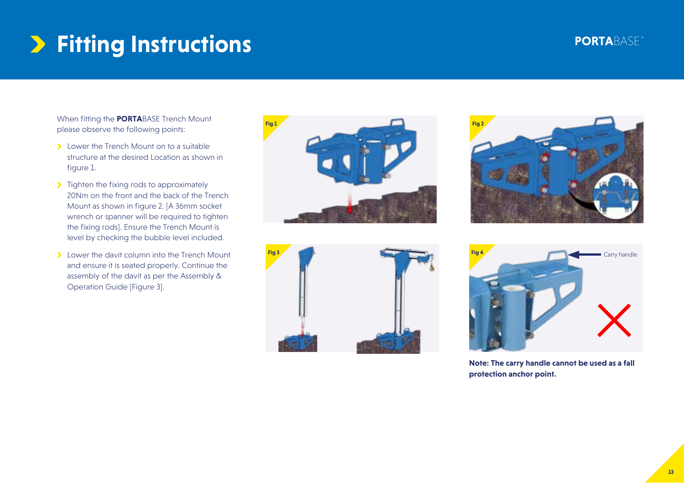## **Fitting Instructions**

When fitting the **PORTA**BASE Trench Mount please observe the following points:

- **Lower the Trench Mount on to a suitable** structure at the desired Location as shown in figure 1.
- **Tighten the fixing rods to approximately** 20Nm on the front and the back of the Trench Mount as shown in figure 2. [A 36mm socket wrench or spanner will be required to tighten the fixing rods]. Ensure the Trench Mount is level by checking the bubble level included.
- **Lower the davit column into the Trench Mount** and ensure it is seated properly. Continue the assembly of the davit as per the Assembly & Operation Guide [Figure 3].









**Note: The carry handle cannot be used as a fall protection anchor point.**

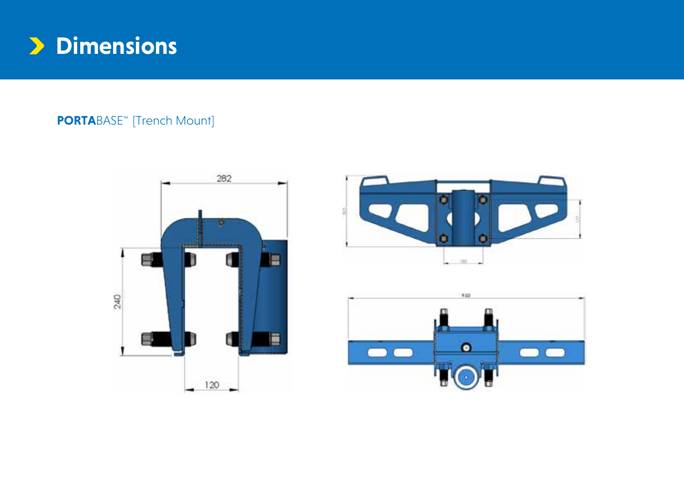

**PORTA**BASE<sup>\*\*</sup> [Trench Mount]





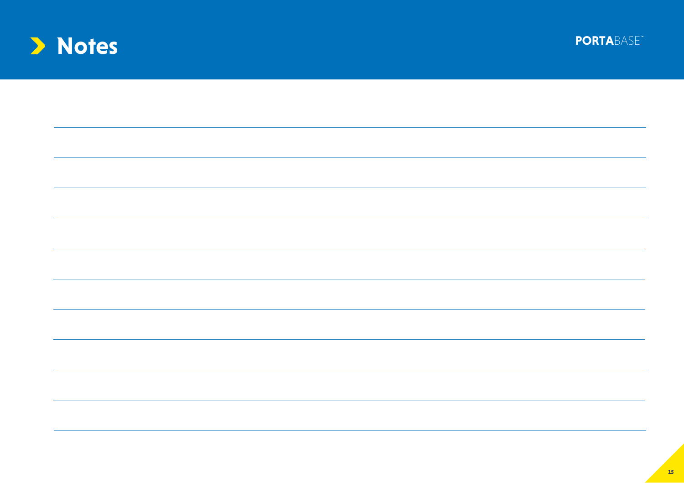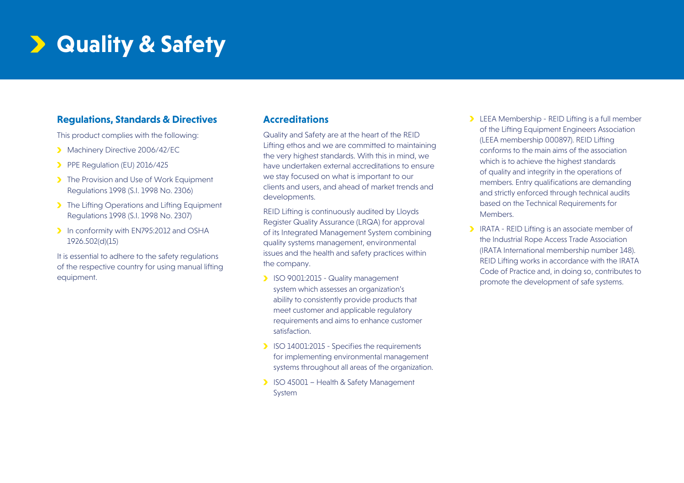### **Quality & Safety**

### **Regulations, Standards & Directives**

This product complies with the following:

- Machinery Directive 2006/42/FC
- PPE Regulation (EU) 2016/425
- The Provision and Use of Work Equipment Regulations 1998 (S.I. 1998 No. 2306)
- The Lifting Operations and Lifting Equipment Regulations 1998 (S.I. 1998 No. 2307)
- In conformity with EN795:2012 and OSHA 1926.502(d)(15)

It is essential to adhere to the safety regulations of the respective country for using manual lifting equipment.

### **Accreditations**

Quality and Safety are at the heart of the REID Lifting ethos and we are committed to maintaining the very highest standards. With this in mind, we have undertaken external accreditations to ensure we stay focused on what is important to our clients and users, and ahead of market trends and developments.

REID Lifting is continuously audited by Lloyds Register Quality Assurance (LRQA) for approval of its Integrated Management System combining quality systems management, environmental issues and the health and safety practices within the company.

- ISO 9001:2015 Quality management system which assesses an organization's ability to consistently provide products that meet customer and applicable regulatory requirements and aims to enhance customer satisfaction.
- ISO 14001:2015 Specifies the requirements for implementing environmental management systems throughout all areas of the organization.
- **ISO 45001 Health & Safety Management** System
- **LEEA Membership REID Lifting is a full member** of the Lifting Equipment Engineers Association (LEEA membership 000897). REID Lifting conforms to the main aims of the association which is to achieve the highest standards of quality and integrity in the operations of members. Entry qualifications are demanding and strictly enforced through technical audits based on the Technical Requirements for Members.
- IRATA REID Lifting is an associate member of the Industrial Rope Access Trade Association (IRATA International membership number 148). REID Lifting works in accordance with the IRATA Code of Practice and, in doing so, contributes to promote the development of safe systems.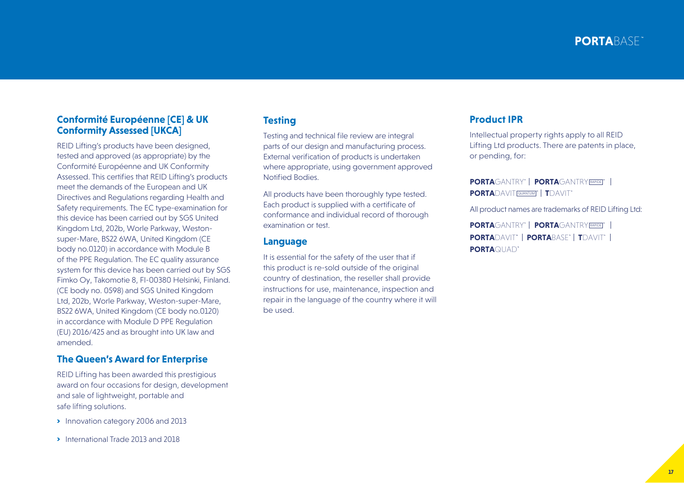#### **Conformité Européenne [CE] & UK Conformity Assessed [UKCA]**

REID Lifting's products have been designed, tested and approved (as appropriate) by the Conformité Européenne and UK Conformity Assessed. This certifies that REID Lifting's products meet the demands of the European and UK Directives and Regulations regarding Health and Safety requirements. The EC type-examination for this device has been carried out by SGS United Kingdom Ltd, 202b, Worle Parkway, Westonsuper-Mare, BS22 6WA, United Kingdom (CE body no.0120) in accordance with Module B of the PPE Regulation. The EC quality assurance system for this device has been carried out by SGS Fimko Oy, Takomotie 8, FI-00380 Helsinki, Finland. (CE body no. 0598) and SGS United Kingdom Ltd, 202b, Worle Parkway, Weston-super-Mare, BS22 6WA, United Kingdom (CE body no.0120) in accordance with Module D PPE Regulation (EU) 2016/425 and as brought into UK law and amended.

#### **The Queen's Award for Enterprise**

REID Lifting has been awarded this prestigious award on four occasions for design, development and sale of lightweight, portable and safe lifting solutions.

- **Innovation category 2006 and 2013**
- **International Trade 2013 and 2018**

### **Testing**

Testing and technical file review are integral parts of our design and manufacturing process. External verification of products is undertaken where appropriate, using government approved Notified Bodies.

All products have been thoroughly type tested. Each product is supplied with a certificate of conformance and individual record of thorough examination or test.

#### **Language**

It is essential for the safety of the user that if this product is re-sold outside of the original country of destination, the reseller shall provide instructions for use, maintenance, inspection and repair in the language of the country where it will be used.

#### **Product IPR**

Intellectual property rights apply to all REID Lifting Ltd products. There are patents in place, or pending, for:

**PORTA**GANTRY' | PORTAGANTRY **PORTA**DAVIT QUANTUM **T**DAVIT

All product names are trademarks of REID Lifting Ltd:

**PORTA**DAVIT **PORTA**BASE **T**DAVIT **PORTA**QUAD **PORTA**GANTRY' | PORTAGANTRY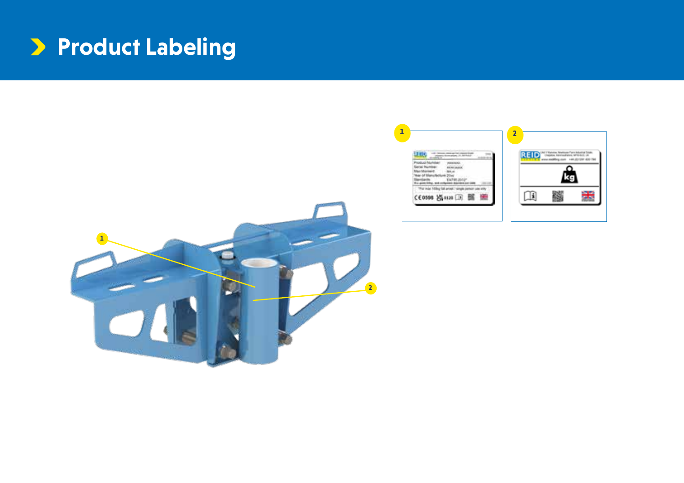### **Product Labeling**



器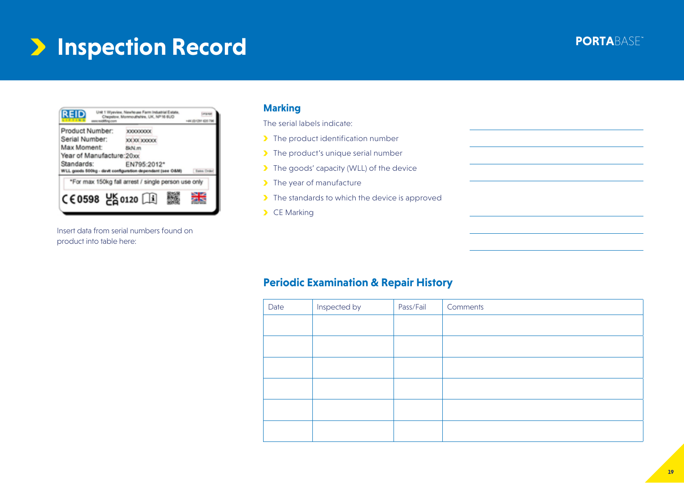### **PORTABASE <b>Inspection Record Instead of PORTABASE**

#### Unit 1 Wyeview, Newheuse Farm Industrial Estate,<br>Chepsion: Monmouthshire, UK, NP16 BUD **REID Group** 144.03 CR1.031796 **Hillings** Product Number: XXXXXXXX Serial Number: XXXX XXXX Max Moment: 8kN.m Year of Manufacture 20xx Standards: EN795:2012\* WLL goods 500kg - davit configuration dependant (see O&M) **Earne** Only \*For max 150kg fall arrest / single person use only CE0598 250120 □ 噐

Insert data from serial numbers found on product into table here:

### **Marking**

The serial labels indicate:

- > The product identification number
- > The product's unique serial number
- The goods' capacity (WLL) of the device
- > The year of manufacture
- $\blacktriangleright$  The standards to which the device is approved
- CE Marking

### **Periodic Examination & Repair History**

| Date | Inspected by | Pass/Fail | Comments |
|------|--------------|-----------|----------|
|      |              |           |          |
|      |              |           |          |
|      |              |           |          |
|      |              |           |          |
|      |              |           |          |
|      |              |           |          |